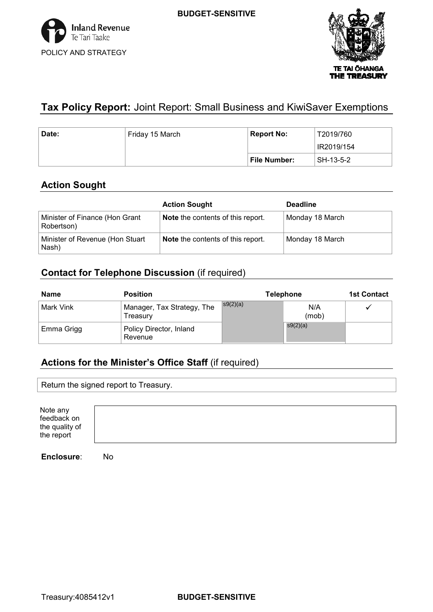

# **Tax Policy Report:** Joint Report: Small Business and KiwiSaver Exemptions

| Date: | <sup>⊦</sup> Friday 15 March | <b>Report No:</b> | T2019/760  |
|-------|------------------------------|-------------------|------------|
|       |                              |                   | IR2019/154 |
|       |                              | File Number:      | SH-13-5-2  |

## **Action Sought**

|                                              | <b>Action Sought</b>                     | <b>Deadline</b> |
|----------------------------------------------|------------------------------------------|-----------------|
| Minister of Finance (Hon Grant<br>Robertson) | <b>Note</b> the contents of this report. | Monday 18 March |
| Minister of Revenue (Hon Stuart<br>Nash)     | <b>Note</b> the contents of this report. | Monday 18 March |

## **Contact for Telephone Discussion** (if required)

| <b>Name</b> | <b>Position</b>                        |          | <b>Telephone</b> | <b>1st Contact</b> |
|-------------|----------------------------------------|----------|------------------|--------------------|
| Mark Vink   | Manager, Tax Strategy, The<br>Treasurv | s9(2)(a) | N/A<br>(mob)     | ✔                  |
| Emma Grigg  | Policy Director, Inland<br>Revenue     |          | s9(2)(a)         |                    |

# **Actions for the Minister's Office Staff** (if required)

Return the signed report to Treasury.

| Note any<br>feedback on<br>the quality of<br>the report |
|---------------------------------------------------------|
|---------------------------------------------------------|

**Enclosure**: No

Treasury:4085412v1 **BUDGET-SENSITIVE**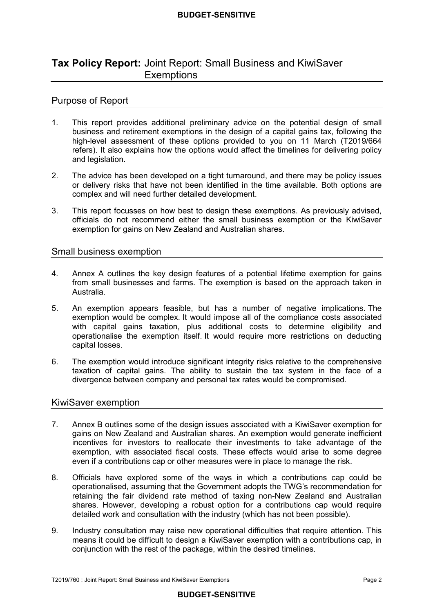## **Tax Policy Report:** Joint Report: Small Business and KiwiSaver **Exemptions**

### Purpose of Report

- $1<sub>1</sub>$  business and retirement exemptions in the design of a capital gains tax, following the high-level assessment of these options provided to you on 11 March (T2019/664 refers). It also explains how the options would affect the timelines for delivering policy and legislation. This report provides additional preliminary advice on the potential design of small
- 2. The advice has been developed on a tight turnaround, and there may be policy issues or delivery risks that have not been identified in the time available. Both options are complex and will need further detailed development.
- $\mathbf{3}$  officials do not recommend either the small business exemption or the KiwiSaver exemption for gains on New Zealand and Australian shares. This report focusses on how best to design these exemptions. As previously advised,

### Small business exemption

- $4<sub>1</sub>$  from small businesses and farms. The exemption is based on the approach taken in Australia. Annex A outlines the key design features of a potential lifetime exemption for gains
- 5. An exemption appears feasible, but has a number of negative implications. The exemption would be complex. It would impose all of the compliance costs associated with capital gains taxation, plus additional costs to determine eligibility and operationalise the exemption itself. It would require more restrictions on deducting capital losses.
- 6. The exemption would introduce significant integrity risks relative to the comprehensive taxation of capital gains. The ability to sustain the tax system in the face of a divergence between company and personal tax rates would be compromised.

### KiwiSaver exemption

- $7<sub>1</sub>$  gains on New Zealand and Australian shares. An exemption would generate inefficient incentives for investors to reallocate their investments to take advantage of the exemption, with associated fiscal costs. These effects would arise to some degree even if a contributions cap or other measures were in place to manage the risk. Annex B outlines some of the design issues associated with a KiwiSaver exemption for
- 8. Officials have explored some of the ways in which a contributions cap could be operationalised, assuming that the Government adopts the TWG's recommendation for retaining the fair dividend rate method of taxing non-New Zealand and Australian shares. However, developing a robust option for a contributions cap would require detailed work and consultation with the industry (which has not been possible).
- 9. Industry consultation may raise new operational difficulties that require attention. This means it could be difficult to design a KiwiSaver exemption with a contributions cap, in conjunction with the rest of the package, within the desired timelines.

### **BUDGET-SENSITIVE**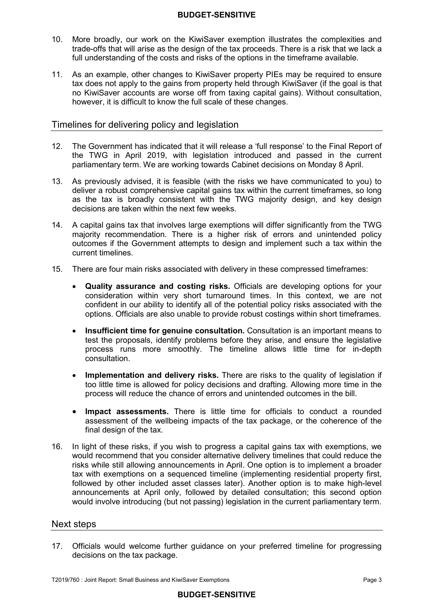- 10. More broadly, our work on the KiwiSaver exemption illustrates the complexities and trade-offs that will arise as the design of the tax proceeds. There is a risk that we lack a full understanding of the costs and risks of the options in the timeframe available.
- $11.$  tax does not apply to the gains from property held through KiwiSaver (if the goal is that no KiwiSaver accounts are worse off from taxing capital gains). Without consultation, however, it is difficult to know the full scale of these changes. As an example, other changes to KiwiSaver property PIEs may be required to ensure

### Timelines for delivering policy and legislation

- 12. The Government has indicated that it will release a 'full response' to the Final Report of the TWG in April 2019, with legislation introduced and passed in the current parliamentary term. We are working towards Cabinet decisions on Monday 8 April.
- $13.$  deliver a robust comprehensive capital gains tax within the current timeframes, so long as the tax is broadly consistent with the TWG majority design, and key design decisions are taken within the next few weeks. 13. As previously advised, it is feasible (with the risks we have communicated to you) to
- $14<sub>1</sub>$  majority recommendation. There is a higher risk of errors and unintended policy outcomes if the Government attempts to design and implement such a tax within the current timelines. 14. A capital gains tax that involves large exemptions will differ significantly from the TWG
- $15<sub>1</sub>$ 15. There are four main risks associated with delivery in these compressed timeframes:
	- • **Quality assurance and costing risks.** Officials are developing options for your consideration within very short turnaround times. In this context, we are not confident in our ability to identify all of the potential policy risks associated with the options. Officials are also unable to provide robust costings within short timeframes.
	- **Insufficient time for genuine consultation.** Consultation is an important means to test the proposals, identify problems before they arise, and ensure the legislative process runs more smoothly. The timeline allows little time for in-depth consultation.
	- **Implementation and delivery risks.** There are risks to the quality of legislation if too little time is allowed for policy decisions and drafting. Allowing more time in the process will reduce the chance of errors and unintended outcomes in the bill.
	- • **Impact assessments.** There is little time for officials to conduct a rounded assessment of the wellbeing impacts of the tax package, or the coherence of the final design of the tax.
- $16.$  would recommend that you consider alternative delivery timelines that could reduce the risks while still allowing announcements in April. One option is to implement a broader tax with exemptions on a sequenced timeline (implementing residential property first, followed by other included asset classes later). Another option is to make high-level announcements at April only, followed by detailed consultation; this second option would involve introducing (but not passing) legislation in the current parliamentary term. 16. In light of these risks, if you wish to progress a capital gains tax with exemptions, we

### Next steps

 $17.$  decisions on the tax package. 17. Officials would welcome further guidance on your preferred timeline for progressing

T2019/760 : Joint Report: Small Business and KiwiSaver Exemptions Page 3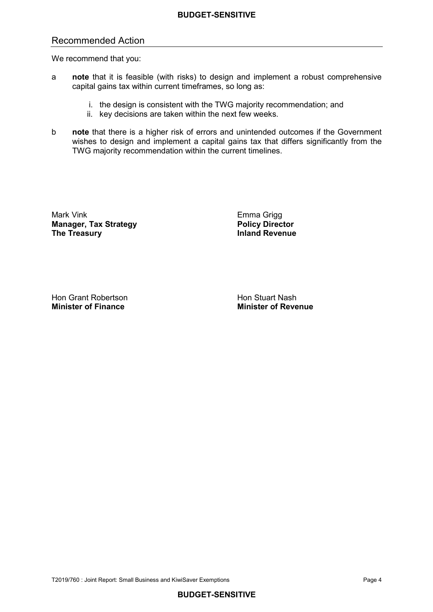## Recommended Action

We recommend that you:

- a **note** that it is feasible (with risks) to design and implement a robust comprehensive capital gains tax within current timeframes, so long as:
	- i. the design is consistent with the TWG majority recommendation; and
	- ii. key decisions are taken within the next few weeks.
- b **note** that there is a higher risk of errors and unintended outcomes if the Government wishes to design and implement a capital gains tax that differs significantly from the TWG majority recommendation within the current timelines.

Mark Vink **Manager, Tax Strategy Area and Strategy Policy Director The Treasury Inland Revenue** 

Emma Grigg<br>**Policy Director** 

Hon Grant Robertson **Hon Stuart Nash Minister of Finance** 

**Minister of Finance Minister of Revenue**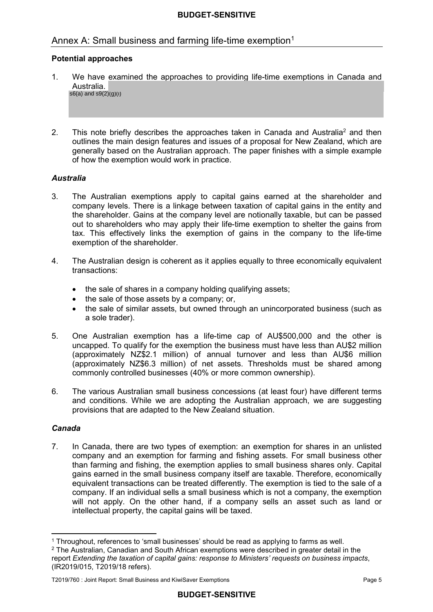## Annex A: Small business and farming life-time exemption<sup>1</sup>

### **Potential approaches**

- $1<sup>1</sup>$ We have examined the approaches to providing life-time exemptions in Canada and Australia.  $s6(a)$  and  $s9(2)(a)(i)$
- $\mathcal{P}$  outlines the main design features and issues of a proposal for New Zealand, which are generally based on the Australian approach. The paper finishes with a simple example of how the exemption would work in practice. 2. This note briefly describes the approaches taken in Canada and Australia<sup>2</sup> and then

### *Australia*

- 3. The Australian exemptions apply to capital gains earned at the shareholder and company levels. There is a linkage between taxation of capital gains in the entity and the shareholder. Gains at the company level are notionally taxable, but can be passed out to shareholders who may apply their life-time exemption to shelter the gains from tax. This effectively links the exemption of gains in the company to the life-time exemption of the shareholder.
- $\overline{4}$ The Australian design is coherent as it applies equally to three economically equivalent transactions:
	- the sale of shares in a company holding qualifying assets;
	- the sale of those assets by a company; or,
	- • the sale of similar assets, but owned through an unincorporated business (such as a sole trader).
- uncapped. To qualify for the exemption the business must have less than AU\$2 million (approximately NZ\$2.1 million) of annual turnover and less than AU\$6 million (approximately NZ\$6.3 million) of net assets. Thresholds must be shared among commonly controlled businesses (40% or more common ownership). 5. One Australian exemption has a life-time cap of AU\$500,000 and the other is
- $6.$  provisions that are adapted to the New Zealand situation. The various Australian small business concessions (at least four) have different terms and conditions. While we are adopting the Australian approach, we are suggesting

### *Canada*

 7. In Canada, there are two types of exemption: an exemption for shares in an unlisted company and an exemption for farming and fishing assets. For small business other than farming and fishing, the exemption applies to small business shares only. Capital gains earned in the small business company itself are taxable. Therefore, economically equivalent transactions can be treated differently. The exemption is tied to the sale of a company. If an individual sells a small business which is not a company, the exemption will not apply. On the other hand, if a company sells an asset such as land or intellectual property, the capital gains will be taxed.

 <sup>1</sup> Throughout, references to 'small businesses' should be read as applying to farms as well.

 $^2$  The Australian, Canadian and South African exemptions were described in greater detail in the report *Extending the taxation of capital gains: response to Ministers' requests on business impacts*, (IR2019/015, T2019/18 refers).

 T2019/760 : Joint Report: Small Business and KiwiSaver Exemptions Page 5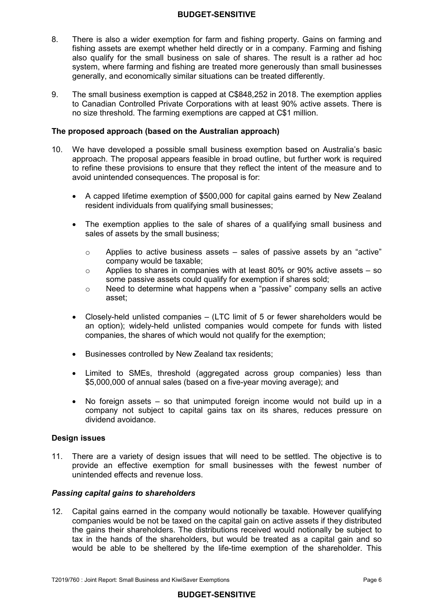- $\mathsf{R}$  fishing assets are exempt whether held directly or in a company. Farming and fishing also qualify for the small business on sale of shares. The result is a rather ad hoc system, where farming and fishing are treated more generously than small businesses generally, and economically similar situations can be treated differently. There is also a wider exemption for farm and fishing property. Gains on farming and
- 9. The small business exemption is capped at C\$848,252 in 2018. The exemption applies to Canadian Controlled Private Corporations with at least 90% active assets. There is no size threshold. The farming exemptions are capped at C\$1 million.

#### **The proposed approach (based on the Australian approach)**

- 10. We have developed a possible small business exemption based on Australia's basic approach. The proposal appears feasible in broad outline, but further work is required to refine these provisions to ensure that they reflect the intent of the measure and to avoid unintended consequences. The proposal is for:
	- $\bullet$  resident individuals from qualifying small businesses; • A capped lifetime exemption of \$500,000 for capital gains earned by New Zealand
	- • The exemption applies to the sale of shares of a qualifying small business and sales of assets by the small business;
		- $\circ$ Applies to active business assets  $-$  sales of passive assets by an "active" company would be taxable;
		- $\circ$  some passive assets could qualify for exemption if shares sold; Applies to shares in companies with at least 80% or 90% active assets  $-$  so
		- $\circ$  Need to determine what happens when a "passive" company sells an active asset;
	- • Closely-held unlisted companies (LTC limit of 5 or fewer shareholders would be an option); widely-held unlisted companies would compete for funds with listed companies, the shares of which would not qualify for the exemption;
	- Businesses controlled by New Zealand tax residents;
	- • Limited to SMEs, threshold (aggregated across group companies) less than \$5,000,000 of annual sales (based on a five-year moving average); and
	- • No foreign assets so that unimputed foreign income would not build up in a company not subject to capital gains tax on its shares, reduces pressure on dividend avoidance.

### **Design issues**

 $11.$  provide an effective exemption for small businesses with the fewest number of unintended effects and revenue loss. There are a variety of design issues that will need to be settled. The objective is to

### *Passing capital gains to shareholders*

 $12.$  companies would be not be taxed on the capital gain on active assets if they distributed the gains their shareholders. The distributions received would notionally be subject to tax in the hands of the shareholders, but would be treated as a capital gain and so would be able to be sheltered by the life-time exemption of the shareholder. This 12. Capital gains earned in the company would notionally be taxable. However qualifying

### **BUDGET-SENSITIVE**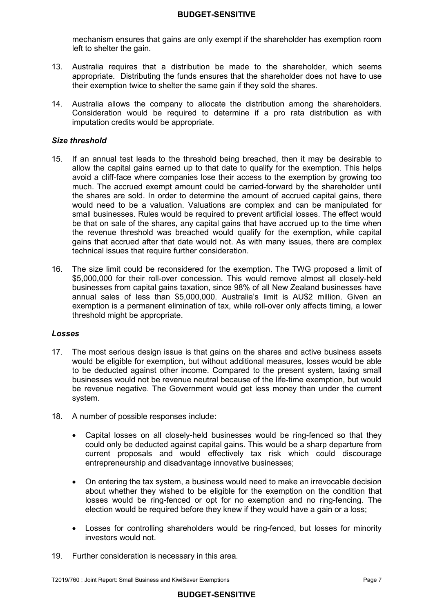mechanism ensures that gains are only exempt if the shareholder has exemption room left to shelter the gain.

- $13.$  appropriate. Distributing the funds ensures that the shareholder does not have to use their exemption twice to shelter the same gain if they sold the shares. Australia requires that a distribution be made to the shareholder, which seems
- 14. Australia allows the company to allocate the distribution among the shareholders. Consideration would be required to determine if a pro rata distribution as with imputation credits would be appropriate.

### *Size threshold*

- $15<sub>1</sub>$  allow the capital gains earned up to that date to qualify for the exemption. This helps avoid a cliff-face where companies lose their access to the exemption by growing too much. The accrued exempt amount could be carried-forward by the shareholder until the shares are sold. In order to determine the amount of accrued capital gains, there would need to be a valuation. Valuations are complex and can be manipulated for small businesses. Rules would be required to prevent artificial losses. The effect would be that on sale of the shares, any capital gains that have accrued up to the time when the revenue threshold was breached would qualify for the exemption, while capital gains that accrued after that date would not. As with many issues, there are complex technical issues that require further consideration. 15. If an annual test leads to the threshold being breached, then it may be desirable to
- $16.$  \$5,000,000 for their roll-over concession. This would remove almost all closely-held businesses from capital gains taxation, since 98% of all New Zealand businesses have annual sales of less than \$5,000,000. Australia's limit is AU\$2 million. Given an exemption is a permanent elimination of tax, while roll-over only affects timing, a lower The size limit could be reconsidered for the exemption. The TWG proposed a limit of threshold might be appropriate.

#### *Losses*

- 17. The most serious design issue is that gains on the shares and active business assets would be eligible for exemption, but without additional measures, losses would be able to be deducted against other income. Compared to the present system, taxing small businesses would not be revenue neutral because of the life-time exemption, but would be revenue negative. The Government would get less money than under the current system.
- 18. A number of possible responses include:
	- $\bullet$  could only be deducted against capital gains. This would be a sharp departure from current proposals and would effectively tax risk which could discourage • Capital losses on all closely-held businesses would be ring-fenced so that they entrepreneurship and disadvantage innovative businesses;
	- • On entering the tax system, a business would need to make an irrevocable decision about whether they wished to be eligible for the exemption on the condition that losses would be ring-fenced or opt for no exemption and no ring-fencing. The election would be required before they knew if they would have a gain or a loss;
	- $\bullet$  investors would not. Losses for controlling shareholders would be ring-fenced, but losses for minority
- 19. Further consideration is necessary in this area.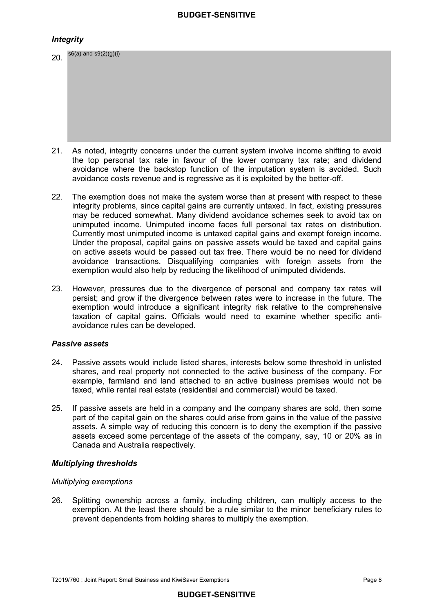### *Integrity*

| 20. | $s6(a)$ and $s9(2)(g)(i)$                                                              |
|-----|----------------------------------------------------------------------------------------|
|     |                                                                                        |
| 21. | As noted, integrity concerns under the current system involve income shifting to avoid |

- the top personal tax rate in favour of the lower company tax rate; and dividend avoidance where the backstop function of the imputation system is avoided. Such avoidance costs revenue and is regressive as it is exploited by the better-off. 21. As noted, integrity concerns under the current system involve income shifting to avoid
- $22.$  integrity problems, since capital gains are currently untaxed. In fact, existing pressures may be reduced somewhat. Many dividend avoidance schemes seek to avoid tax on unimputed income. Unimputed income faces full personal tax rates on distribution. Currently most unimputed income is untaxed capital gains and exempt foreign income. Under the proposal, capital gains on passive assets would be taxed and capital gains on active assets would be passed out tax free. There would be no need for dividend avoidance transactions. Disqualifying companies with foreign assets from the The exemption does not make the system worse than at present with respect to these exemption would also help by reducing the likelihood of unimputed dividends.
- 23. However, pressures due to the divergence of personal and company tax rates will persist; and grow if the divergence between rates were to increase in the future. The exemption would introduce a significant integrity risk relative to the comprehensive taxation of capital gains. Officials would need to examine whether specific anti-avoidance rules can be developed.

### *Passive assets*

- 24. Passive assets would include listed shares, interests below some threshold in unlisted shares, and real property not connected to the active business of the company. For example, farmland and land attached to an active business premises would not be taxed, while rental real estate (residential and commercial) would be taxed.
- $25.$  part of the capital gain on the shares could arise from gains in the value of the passive assets. A simple way of reducing this concern is to deny the exemption if the passive assets exceed some percentage of the assets of the company, say, 10 or 20% as in If passive assets are held in a company and the company shares are sold, then some Canada and Australia respectively.

### *Multiplying thresholds*

### *Multiplying exemptions*

 $26.$  exemption. At the least there should be a rule similar to the minor beneficiary rules to prevent dependents from holding shares to multiply the exemption. Splitting ownership across a family, including children, can multiply access to the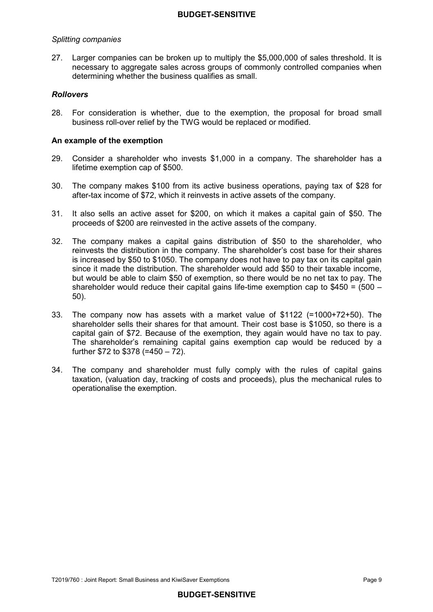### *Splitting companies*

 27. Larger companies can be broken up to multiply the \$5,000,000 of sales threshold. It is necessary to aggregate sales across groups of commonly controlled companies when determining whether the business qualifies as small.

### *Rollovers*

 28. For consideration is whether, due to the exemption, the proposal for broad small business roll-over relief by the TWG would be replaced or modified.

#### **An example of the exemption**

- $29.$  lifetime exemption cap of \$500. Consider a shareholder who invests \$1,000 in a company. The shareholder has a
- $30.$ The company makes  $$100$  from its active business operations, paying tax of  $$28$  for after-tax income of \$72, which it reinvests in active assets of the company.
- $31<sup>2</sup>$  proceeds of \$200 are reinvested in the active assets of the company. It also sells an active asset for \$200, on which it makes a capital gain of \$50. The
- 32. The company makes a capital gains distribution of \$50 to the shareholder, who reinvests the distribution in the company. The shareholder's cost base for their shares is increased by \$50 to \$1050. The company does not have to pay tax on its capital gain since it made the distribution. The shareholder would add \$50 to their taxable income, but would be able to claim \$50 of exemption, so there would be no net tax to pay. The shareholder would reduce their capital gains life-time exemption cap to \$450 = (500 – 50).
- 33. The company now has assets with a market value of \$1122 (=1000+72+50). The shareholder sells their shares for that amount. Their cost base is \$1050, so there is a capital gain of \$72. Because of the exemption, they again would have no tax to pay. The shareholder's remaining capital gains exemption cap would be reduced by a further \$72 to \$378 (=450 – 72).
- 34. taxation, (valuation day, tracking of costs and proceeds), plus the mechanical rules to operationalise the exemption. The company and shareholder must fully comply with the rules of capital gains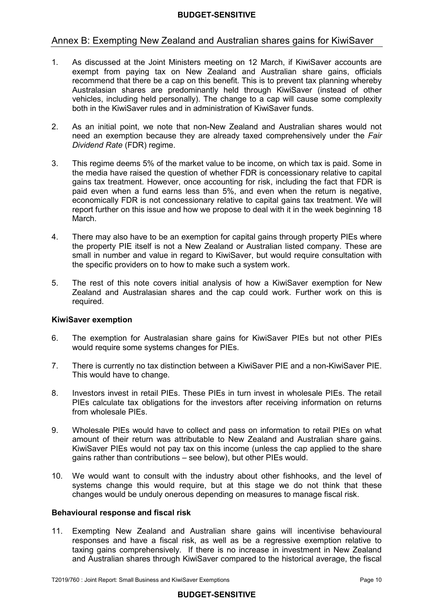### Annex B: Exempting New Zealand and Australian shares gains for KiwiSaver

- $1<sub>1</sub>$  exempt from paying tax on New Zealand and Australian share gains, officials recommend that there be a cap on this benefit. This is to prevent tax planning whereby Australasian shares are predominantly held through KiwiSaver (instead of other vehicles, including held personally). The change to a cap will cause some complexity both in the KiwiSaver rules and in administration of KiwiSaver funds. As discussed at the Joint Ministers meeting on 12 March, if KiwiSaver accounts are
- $2<sup>1</sup>$  need an exemption because they are already taxed comprehensively under the *Fair Dividend Rate* (FDR) regime. 2. As an initial point, we note that non-New Zealand and Australian shares would not
- $3<sub>1</sub>$  the media have raised the question of whether FDR is concessionary relative to capital gains tax treatment. However, once accounting for risk, including the fact that FDR is paid even when a fund earns less than 5%, and even when the return is negative, economically FDR is not concessionary relative to capital gains tax treatment. We will report further on this issue and how we propose to deal with it in the week beginning 18 This regime deems 5% of the market value to be income, on which tax is paid. Some in March.
- $\overline{4}$  the property PIE itself is not a New Zealand or Australian listed company. These are small in number and value in regard to KiwiSaver, but would require consultation with the specific providers on to how to make such a system work. There may also have to be an exemption for capital gains through property PIEs where
- 5. Zealand and Australasian shares and the cap could work. Further work on this is The rest of this note covers initial analysis of how a KiwiSaver exemption for New required.

#### **KiwiSaver exemption**

- 6. The exemption for Australasian share gains for KiwiSaver PIEs but not other PIEs would require some systems changes for PIEs.
- $7<sup>7</sup>$  This would have to change. 7. There is currently no tax distinction between a KiwiSaver PIE and a non-KiwiSaver PIE.
- 8. Investors invest in retail PIEs. These PIEs in turn invest in wholesale PIEs. The retail PIEs calculate tax obligations for the investors after receiving information on returns from wholesale PIEs.
- 9. Wholesale PIEs would have to collect and pass on information to retail PIEs on what amount of their return was attributable to New Zealand and Australian share gains. KiwiSaver PIEs would not pay tax on this income (unless the cap applied to the share gains rather than contributions – see below), but other PIEs would.
- 10. We would want to consult with the industry about other fishhooks, and the level of systems change this would require, but at this stage we do not think that these changes would be unduly onerous depending on measures to manage fiscal risk.

#### **Behavioural response and fiscal risk**

 11. Exempting New Zealand and Australian share gains will incentivise behavioural responses and have a fiscal risk, as well as be a regressive exemption relative to taxing gains comprehensively. If there is no increase in investment in New Zealand and Australian shares through KiwiSaver compared to the historical average, the fiscal

### **BUDGET-SENSITIVE**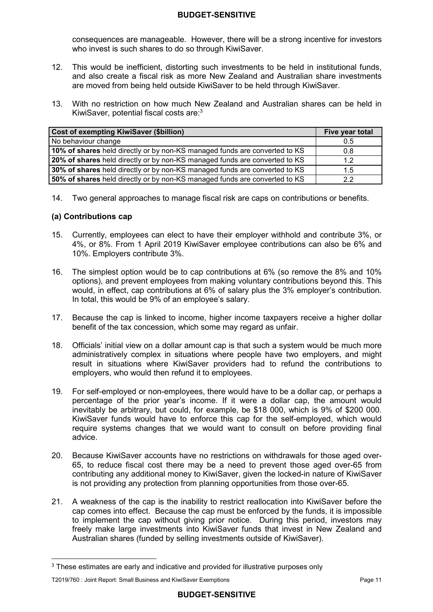consequences are manageable. However, there will be a strong incentive for investors who invest is such shares to do so through KiwiSaver.

- $12.$  and also create a fiscal risk as more New Zealand and Australian share investments are moved from being held outside KiwiSaver to be held through KiwiSaver. 12. This would be inefficient, distorting such investments to be held in institutional funds,
- 13. With no restriction on how much New Zealand and Australian shares can be held in KiwiSaver, potential fiscal costs are:<sup>3</sup>

| <b>Cost of exempting KiwiSaver (\$billion)</b>                             | Five year total |
|----------------------------------------------------------------------------|-----------------|
| No behaviour change                                                        | 0.5             |
| 10% of shares held directly or by non-KS managed funds are converted to KS | 0.8             |
| 20% of shares held directly or by non-KS managed funds are converted to KS | 1.2             |
| 30% of shares held directly or by non-KS managed funds are converted to KS | 1.5             |
| 50% of shares held directly or by non-KS managed funds are converted to KS | っっ              |

14. Two general approaches to manage fiscal risk are caps on contributions or benefits.

### **(a) Contributions cap**

- 15. Currently, employees can elect to have their employer withhold and contribute 3%, or 4%, or 8%. From 1 April 2019 KiwiSaver employee contributions can also be 6% and 10%. Employers contribute 3%.
- 16. The simplest option would be to cap contributions at 6% (so remove the 8% and 10% options), and prevent employees from making voluntary contributions beyond this. This would, in effect, cap contributions at 6% of salary plus the 3% employer's contribution. In total, this would be 9% of an employee's salary.
- 17. Because the cap is linked to income, higher income taxpayers receive a higher dollar benefit of the tax concession, which some may regard as unfair.
- 18. Officials' initial view on a dollar amount cap is that such a system would be much more administratively complex in situations where people have two employers, and might result in situations where KiwiSaver providers had to refund the contributions to employers, who would then refund it to employees.
- $19<sub>1</sub>$  percentage of the prior year's income. If it were a dollar cap, the amount would inevitably be arbitrary, but could, for example, be \$18 000, which is 9% of \$200 000. KiwiSaver funds would have to enforce this cap for the self-employed, which would require systems changes that we would want to consult on before providing final 19. For self-employed or non-employees, there would have to be a dollar cap, or perhaps a advice.
- 20. Because KiwiSaver accounts have no restrictions on withdrawals for those aged over- 65, to reduce fiscal cost there may be a need to prevent those aged over-65 from contributing any additional money to KiwiSaver, given the locked-in nature of KiwiSaver is not providing any protection from planning opportunities from those over-65.
- 21. A weakness of the cap is the inability to restrict reallocation into KiwiSaver before the cap comes into effect. Because the cap must be enforced by the funds, it is impossible to implement the cap without giving prior notice. During this period, investors may freely make large investments into KiwiSaver funds that invest in New Zealand and Australian shares (funded by selling investments outside of KiwiSaver).

 $^3$  These estimates are early and indicative and provided for illustrative purposes only

 T2019/760 : Joint Report: Small Business and KiwiSaver Exemptions Page 11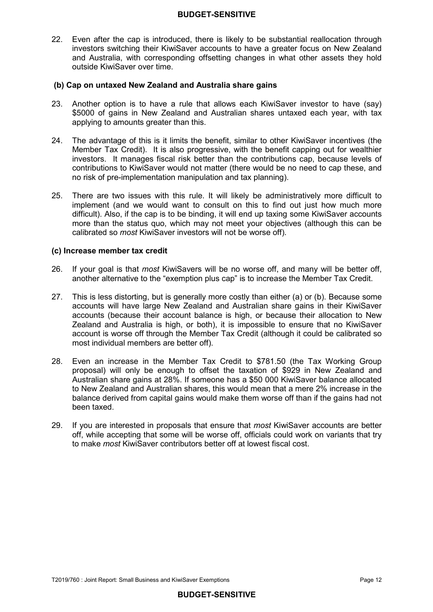22. Even after the cap is introduced, there is likely to be substantial reallocation through investors switching their KiwiSaver accounts to have a greater focus on New Zealand and Australia, with corresponding offsetting changes in what other assets they hold outside KiwiSaver over time.

### **(b) Cap on untaxed New Zealand and Australia share gains**

- 23. \$5000 of gains in New Zealand and Australian shares untaxed each year, with tax applying to amounts greater than this. Another option is to have a rule that allows each KiwiSaver investor to have (say)
- 24. Member Tax Credit). It is also progressive, with the benefit capping out for wealthier investors. It manages fiscal risk better than the contributions cap, because levels of contributions to KiwiSaver would not matter (there would be no need to cap these, and no risk of pre-implementation manipulation and tax planning). The advantage of this is it limits the benefit, similar to other KiwiSaver incentives (the
- 25. implement (and we would want to consult on this to find out just how much more difficult). Also, if the cap is to be binding, it will end up taxing some KiwiSaver accounts more than the status quo, which may not meet your objectives (although this can be calibrated so *most* KiwiSaver investors will not be worse off). There are two issues with this rule. It will likely be administratively more difficult to

### **(c) Increase member tax credit**

- 26. another alternative to the "exemption plus cap" is to increase the Member Tax Credit. 26. If your goal is that *most* KiwiSavers will be no worse off, and many will be better off,
- $27.$  accounts will have large New Zealand and Australian share gains in their KiwiSaver accounts (because their account balance is high, or because their allocation to New Zealand and Australia is high, or both), it is impossible to ensure that no KiwiSaver account is worse off through the Member Tax Credit (although it could be calibrated so most individual members are better off). This is less distorting, but is generally more costly than either (a) or (b). Because some
- 28. Even an increase in the Member Tax Credit to \$781.50 (the Tax Working Group proposal) will only be enough to offset the taxation of \$929 in New Zealand and Australian share gains at 28%. If someone has a \$50 000 KiwiSaver balance allocated to New Zealand and Australian shares, this would mean that a mere 2% increase in the balance derived from capital gains would make them worse off than if the gains had not been taxed.
- 29. off, while accepting that some will be worse off, officials could work on variants that try to make *most* KiwiSaver contributors better off at lowest fiscal cost. 29. If you are interested in proposals that ensure that *most* KiwiSaver accounts are better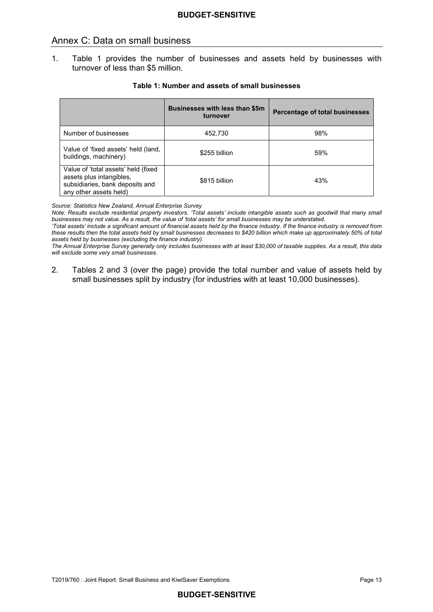### Annex C: Data on small business

 1. Table 1 provides the number of businesses and assets held by businesses with turnover of less than \$5 million.

|                                                                                                                              | <b>Businesses with less than \$5m</b><br>turnover | Percentage of total businesses |
|------------------------------------------------------------------------------------------------------------------------------|---------------------------------------------------|--------------------------------|
| Number of businesses                                                                                                         | 452,730                                           | 98%                            |
| Value of 'fixed assets' held (land,<br>buildings, machinery)                                                                 | \$255 billion                                     | 59%                            |
| Value of 'total assets' held (fixed<br>assets plus intangibles,<br>subsidiaries, bank deposits and<br>any other assets held) | \$815 billion                                     | 43%                            |

#### **Table 1: Number and assets of small businesses**

*Source: Statistics New Zealand, Annual Enterprise Survey* 

*Note: Results exclude residential property investors. 'Total assets' include intangible assets such as goodwill that many small* 

 *these results then the total assets held by small businesses decreases to \$420 billion which make up approximately 50% of total*  assets held by businesses (excluding the finance industry). 'Total assets' include a significant amount of financial assets held by the finance industry. If the finance industry is removed from

 *will exclude some very small businesses. assets held by businesses (excluding the finance industry). The Annual Enterprise Survey generally only includes businesses with at least \$30,000 of taxable supplies. As a result, this data* 

 $2<sub>1</sub>$  small businesses split by industry (for industries with at least 10,000 businesses). 2. Tables 2 and 3 (over the page) provide the total number and value of assets held by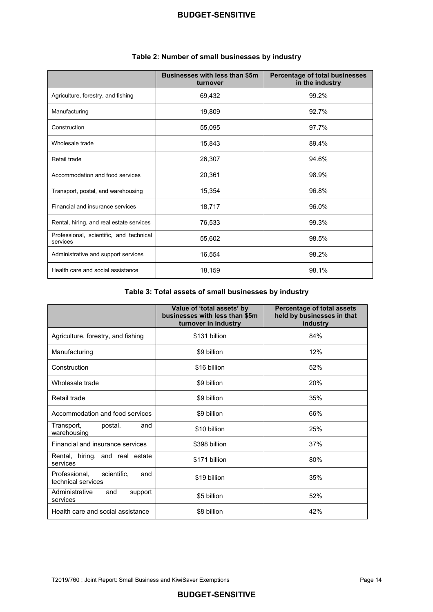|                                                     | <b>Businesses with less than \$5m</b><br>turnover | Percentage of total businesses<br>in the industry |
|-----------------------------------------------------|---------------------------------------------------|---------------------------------------------------|
| Agriculture, forestry, and fishing                  | 69,432                                            | 99.2%                                             |
| Manufacturing                                       | 19,809                                            | 92.7%                                             |
| Construction                                        | 55,095                                            | 97.7%                                             |
| Wholesale trade                                     | 15,843                                            | 89.4%                                             |
| Retail trade                                        | 26,307                                            | 94.6%                                             |
| Accommodation and food services                     | 20,361                                            | 98.9%                                             |
| Transport, postal, and warehousing                  | 15,354                                            | 96.8%                                             |
| Financial and insurance services                    | 18,717                                            | 96.0%                                             |
| Rental, hiring, and real estate services            | 76,533                                            | 99.3%                                             |
| Professional, scientific, and technical<br>services | 55,602                                            | 98.5%                                             |
| Administrative and support services                 | 16,554                                            | 98.2%                                             |
| Health care and social assistance                   | 18,159                                            | 98.1%                                             |

#### **Table 2: Number of small businesses by industry**

#### **Table 3: Total assets of small businesses by industry**

|                                                           | Value of 'total assets' by<br>businesses with less than \$5m<br>turnover in industry | <b>Percentage of total assets</b><br>held by businesses in that<br>industry |
|-----------------------------------------------------------|--------------------------------------------------------------------------------------|-----------------------------------------------------------------------------|
| Agriculture, forestry, and fishing                        | \$131 billion                                                                        | 84%                                                                         |
| Manufacturing                                             | \$9 billion                                                                          | 12%                                                                         |
| Construction                                              | \$16 billion                                                                         | 52%                                                                         |
| Wholesale trade                                           | \$9 billion                                                                          | 20%                                                                         |
| Retail trade                                              | \$9 billion                                                                          | 35%                                                                         |
| Accommodation and food services                           | \$9 billion                                                                          | 66%                                                                         |
| Transport,<br>postal,<br>and<br>warehousing               | \$10 billion                                                                         | 25%                                                                         |
| Financial and insurance services                          | \$398 billion                                                                        | 37%                                                                         |
| Rental, hiring, and real estate<br>services               | \$171 billion                                                                        | 80%                                                                         |
| Professional,<br>scientific,<br>and<br>technical services | \$19 billion                                                                         | 35%                                                                         |
| Administrative<br>and<br>support<br>services              | \$5 billion                                                                          | 52%                                                                         |
| Health care and social assistance                         | \$8 billion                                                                          | 42%                                                                         |